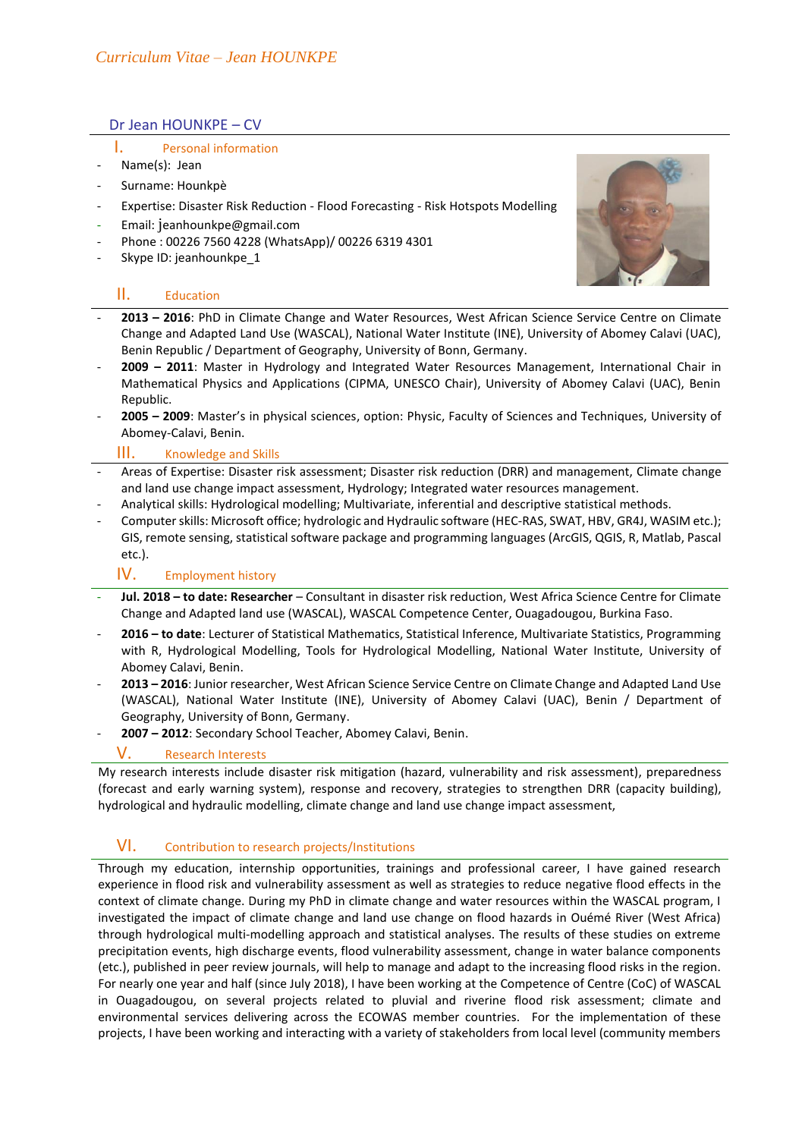### Dr Jean HOUNKPE – CV

#### I. Personal information

- Name(s): Jean
- Surname: Hounkpè
- Expertise: Disaster Risk Reduction Flood Forecasting Risk Hotspots Modelling
- Email: j[eanhounkpe@gmail.com](mailto:jeanhounkpe@gmail.com)
- Phone : 00226 7560 4228 (WhatsApp)/ 00226 6319 4301
- Skype ID: jeanhounkpe\_1

## II. Education



- **2013 – 2016**: PhD in Climate Change and Water Resources, West African Science Service Centre on Climate Change and Adapted Land Use (WASCAL), National Water Institute (INE), University of Abomey Calavi (UAC), Benin Republic / Department of Geography, University of Bonn, Germany.
- **2009 – 2011**: Master in Hydrology and Integrated Water Resources Management, International Chair in Mathematical Physics and Applications (CIPMA, UNESCO Chair), University of Abomey Calavi (UAC), Benin Republic.
- **2005 – 2009**: Master's in physical sciences, option: Physic, Faculty of Sciences and Techniques, University of Abomey-Calavi, Benin.

#### III. Knowledge and Skills

- Areas of Expertise: Disaster risk assessment; Disaster risk reduction (DRR) and management, Climate change and land use change impact assessment, Hydrology; Integrated water resources management.
- Analytical skills: Hydrological modelling; Multivariate, inferential and descriptive statistical methods.
- Computer skills: Microsoft office; hydrologic and Hydraulic software (HEC-RAS, SWAT, HBV, GR4J, WASIM etc.); GIS, remote sensing, statistical software package and programming languages (ArcGIS, QGIS, R, Matlab, Pascal etc.).

## IV. Employment history

- **Jul. 2018 – to date: Researcher** Consultant in disaster risk reduction, West Africa Science Centre for Climate Change and Adapted land use (WASCAL), WASCAL Competence Center, Ouagadougou, Burkina Faso.
- **2016 – to date**: Lecturer of Statistical Mathematics, Statistical Inference, Multivariate Statistics, Programming with R, Hydrological Modelling, Tools for Hydrological Modelling, National Water Institute, University of Abomey Calavi, Benin.
- **2013 – 2016**: Junior researcher, West African Science Service Centre on Climate Change and Adapted Land Use (WASCAL), National Water Institute (INE), University of Abomey Calavi (UAC), Benin / Department of Geography, University of Bonn, Germany.
- **2007 – 2012**: Secondary School Teacher, Abomey Calavi, Benin.

### V. Research Interests

My research interests include disaster risk mitigation (hazard, vulnerability and risk assessment), preparedness (forecast and early warning system), response and recovery, strategies to strengthen DRR (capacity building), hydrological and hydraulic modelling, climate change and land use change impact assessment,

# VI. Contribution to research projects/Institutions

Through my education, internship opportunities, trainings and professional career, I have gained research experience in flood risk and vulnerability assessment as well as strategies to reduce negative flood effects in the context of climate change. During my PhD in climate change and water resources within the WASCAL program, I investigated the impact of climate change and land use change on flood hazards in Ouémé River (West Africa) through hydrological multi-modelling approach and statistical analyses. The results of these studies on extreme precipitation events, high discharge events, flood vulnerability assessment, change in water balance components (etc.), published in peer review journals, will help to manage and adapt to the increasing flood risks in the region. For nearly one year and half (since July 2018), I have been working at the Competence of Centre (CoC) of WASCAL in Ouagadougou, on several projects related to pluvial and riverine flood risk assessment; climate and environmental services delivering across the ECOWAS member countries. For the implementation of these projects, I have been working and interacting with a variety of stakeholders from local level (community members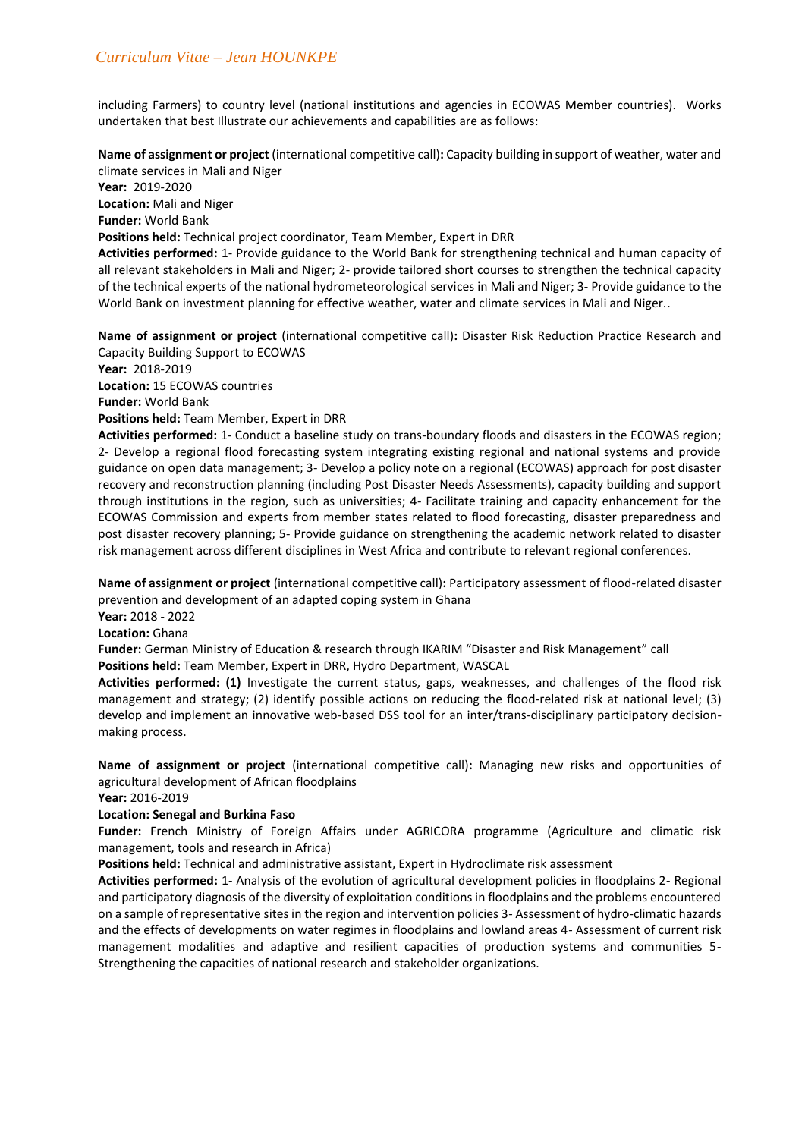including Farmers) to country level (national institutions and agencies in ECOWAS Member countries). Works undertaken that best Illustrate our achievements and capabilities are as follows:

**Name of assignment or project** (international competitive call)**:** Capacity building in support of weather, water and climate services in Mali and Niger

**Year:** 2019-2020

**Location:** Mali and Niger

**Funder:** World Bank

**Positions held:** Technical project coordinator, Team Member, Expert in DRR

**Activities performed:** 1- Provide guidance to the World Bank for strengthening technical and human capacity of all relevant stakeholders in Mali and Niger; 2- provide tailored short courses to strengthen the technical capacity of the technical experts of the national hydrometeorological services in Mali and Niger; 3- Provide guidance to the World Bank on investment planning for effective weather, water and climate services in Mali and Niger..

**Name of assignment or project** (international competitive call)**:** Disaster Risk Reduction Practice Research and Capacity Building Support to ECOWAS

**Year:** 2018-2019 **Location:** 15 ECOWAS countries **Funder:** World Bank **Positions held:** Team Member, Expert in DRR

**Activities performed:** 1- Conduct a baseline study on trans-boundary floods and disasters in the ECOWAS region; 2- Develop a regional flood forecasting system integrating existing regional and national systems and provide guidance on open data management; 3- Develop a policy note on a regional (ECOWAS) approach for post disaster recovery and reconstruction planning (including Post Disaster Needs Assessments), capacity building and support through institutions in the region, such as universities; 4- Facilitate training and capacity enhancement for the ECOWAS Commission and experts from member states related to flood forecasting, disaster preparedness and post disaster recovery planning; 5- Provide guidance on strengthening the academic network related to disaster risk management across different disciplines in West Africa and contribute to relevant regional conferences.

**Name of assignment or project** (international competitive call)**:** Participatory assessment of flood-related disaster prevention and development of an adapted coping system in Ghana

**Year:** 2018 - 2022

**Location:** Ghana

**Funder:** German Ministry of Education & research through IKARIM "Disaster and Risk Management" call **Positions held:** Team Member, Expert in DRR, Hydro Department, WASCAL

**Activities performed: (1)** Investigate the current status, gaps, weaknesses, and challenges of the flood risk management and strategy; (2) identify possible actions on reducing the flood-related risk at national level; (3) develop and implement an innovative web-based DSS tool for an inter/trans-disciplinary participatory decisionmaking process.

**Name of assignment or project** (international competitive call)**:** Managing new risks and opportunities of agricultural development of African floodplains

**Year:** 2016-2019

### **Location: Senegal and Burkina Faso**

**Funder:** French Ministry of Foreign Affairs under AGRICORA programme (Agriculture and climatic risk management, tools and research in Africa)

**Positions held:** Technical and administrative assistant, Expert in Hydroclimate risk assessment

**Activities performed:** 1- Analysis of the evolution of agricultural development policies in floodplains 2- Regional and participatory diagnosis of the diversity of exploitation conditions in floodplains and the problems encountered on a sample of representative sites in the region and intervention policies 3- Assessment of hydro-climatic hazards and the effects of developments on water regimes in floodplains and lowland areas 4- Assessment of current risk management modalities and adaptive and resilient capacities of production systems and communities 5- Strengthening the capacities of national research and stakeholder organizations.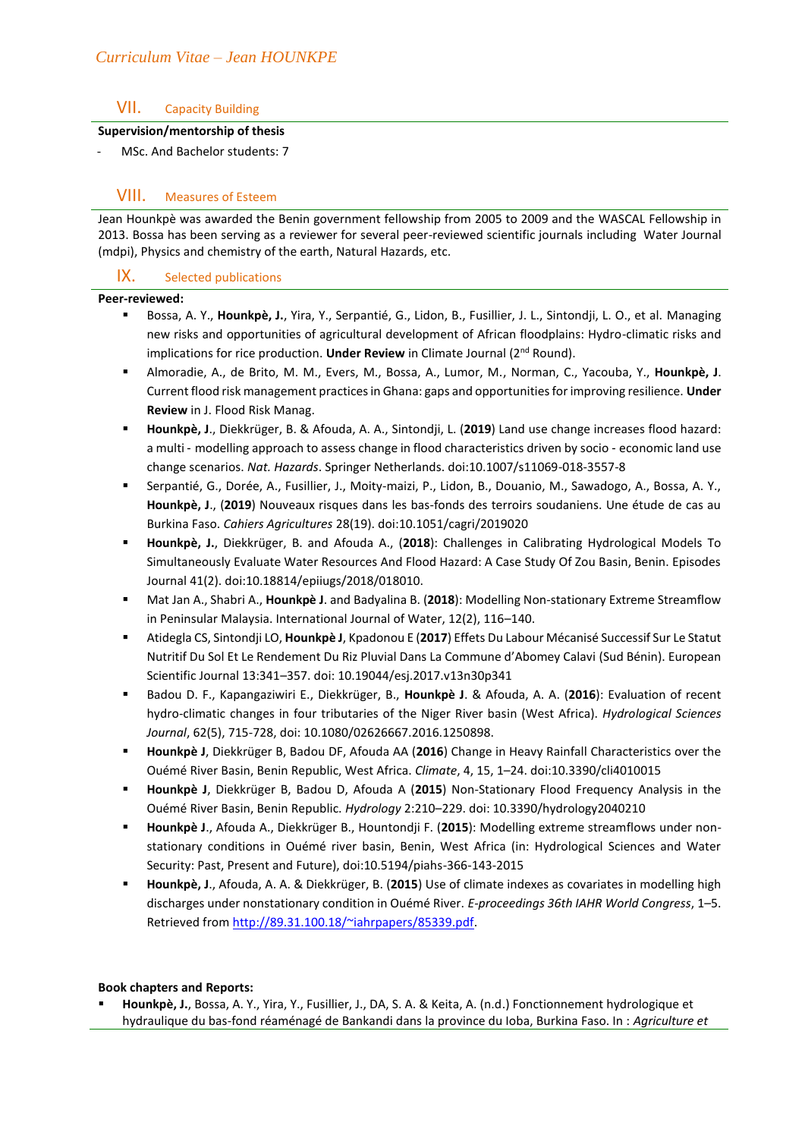## VII. Capacity Building

### **Supervision/mentorship of thesis**

MSc. And Bachelor students: 7

## VIII. Measures of Esteem

Jean Hounkpè was awarded the Benin government fellowship from 2005 to 2009 and the WASCAL Fellowship in 2013. Bossa has been serving as a reviewer for several peer-reviewed scientific journals including Water Journal (mdpi), Physics and chemistry of the earth, Natural Hazards, etc.

## IX. Selected publications

#### **Peer-reviewed:**

- Bossa, A. Y., Hounkpè, J., Yira, Y., Serpantié, G., Lidon, B., Fusillier, J. L., Sintondji, L. O., et al. Managing new risks and opportunities of agricultural development of African floodplains: Hydro-climatic risks and implications for rice production. **Under Review** in Climate Journal (2<sup>nd</sup> Round).
- Almoradie, A., de Brito, M. M., Evers, M., Bossa, A., Lumor, M., Norman, C., Yacouba, Y., **Hounkpè, J**. Current flood risk management practices in Ghana: gaps and opportunities for improving resilience. **Under Review** in J. Flood Risk Manag.
- **Hounkpè, J**., Diekkrüger, B. & Afouda, A. A., Sintondji, L. (**2019**) Land use change increases flood hazard: a multi - modelling approach to assess change in flood characteristics driven by socio - economic land use change scenarios. *Nat. Hazards*. Springer Netherlands. doi:10.1007/s11069-018-3557-8
- Serpantié, G., Dorée, A., Fusillier, J., Moity-maizi, P., Lidon, B., Douanio, M., Sawadogo, A., Bossa, A. Y., **Hounkpè, J**., (**2019**) Nouveaux risques dans les bas-fonds des terroirs soudaniens. Une étude de cas au Burkina Faso. *Cahiers Agricultures* 28(19). doi:10.1051/cagri/2019020
- **Hounkpè, J.**, Diekkrüger, B. and Afouda A., (**2018**): Challenges in Calibrating Hydrological Models To Simultaneously Evaluate Water Resources And Flood Hazard: A Case Study Of Zou Basin, Benin. Episodes Journal 41(2). doi:10.18814/epiiugs/2018/018010.
- Mat Jan A., Shabri A., **Hounkpè J**. and Badyalina B. (**2018**): Modelling Non-stationary Extreme Streamflow in Peninsular Malaysia. International Journal of Water, 12(2), 116–140.
- Atidegla CS, Sintondji LO, **Hounkpè J**, Kpadonou E (**2017**) Effets Du Labour Mécanisé Successif Sur Le Statut Nutritif Du Sol Et Le Rendement Du Riz Pluvial Dans La Commune d'Abomey Calavi (Sud Bénin). European Scientific Journal 13:341–357. doi: 10.19044/esj.2017.v13n30p341
- Badou D. F., Kapangaziwiri E., Diekkrüger, B., **Hounkpè J**. & Afouda, A. A. (**2016**): Evaluation of recent hydro-climatic changes in four tributaries of the Niger River basin (West Africa). *Hydrological Sciences Journal*, 62(5), 715-728, doi: 10.1080/02626667.2016.1250898.
- **Hounkpè J**, Diekkrüger B, Badou DF, Afouda AA (**2016**) Change in Heavy Rainfall Characteristics over the Ouémé River Basin, Benin Republic, West Africa. *Climate*, 4, 15, 1–24. doi:10.3390/cli4010015
- **Hounkpè J**, Diekkrüger B, Badou D, Afouda A (**2015**) Non-Stationary Flood Frequency Analysis in the Ouémé River Basin, Benin Republic. *Hydrology* 2:210–229. doi: 10.3390/hydrology2040210
- **Hounkpè J**., Afouda A., Diekkrüger B., Hountondji F. (**2015**): Modelling extreme streamflows under nonstationary conditions in Ouémé river basin, Benin, West Africa (in: Hydrological Sciences and Water Security: Past, Present and Future), doi:10.5194/piahs-366-143-2015
- **Hounkpè, J**., Afouda, A. A. & Diekkrüger, B. (**2015**) Use of climate indexes as covariates in modelling high discharges under nonstationary condition in Ouémé River. *E-proceedings 36th IAHR World Congress*, 1–5. Retrieved from [http://89.31.100.18/~iahrpapers/85339.pdf.](http://89.31.100.18/~iahrpapers/85339.pdf)

### **Book chapters and Reports:**

▪ **Hounkpè, J.**, Bossa, A. Y., Yira, Y., Fusillier, J., DA, S. A. & Keita, A. (n.d.) Fonctionnement hydrologique et hydraulique du bas-fond réaménagé de Bankandi dans la province du Ioba, Burkina Faso. In : *Agriculture et*